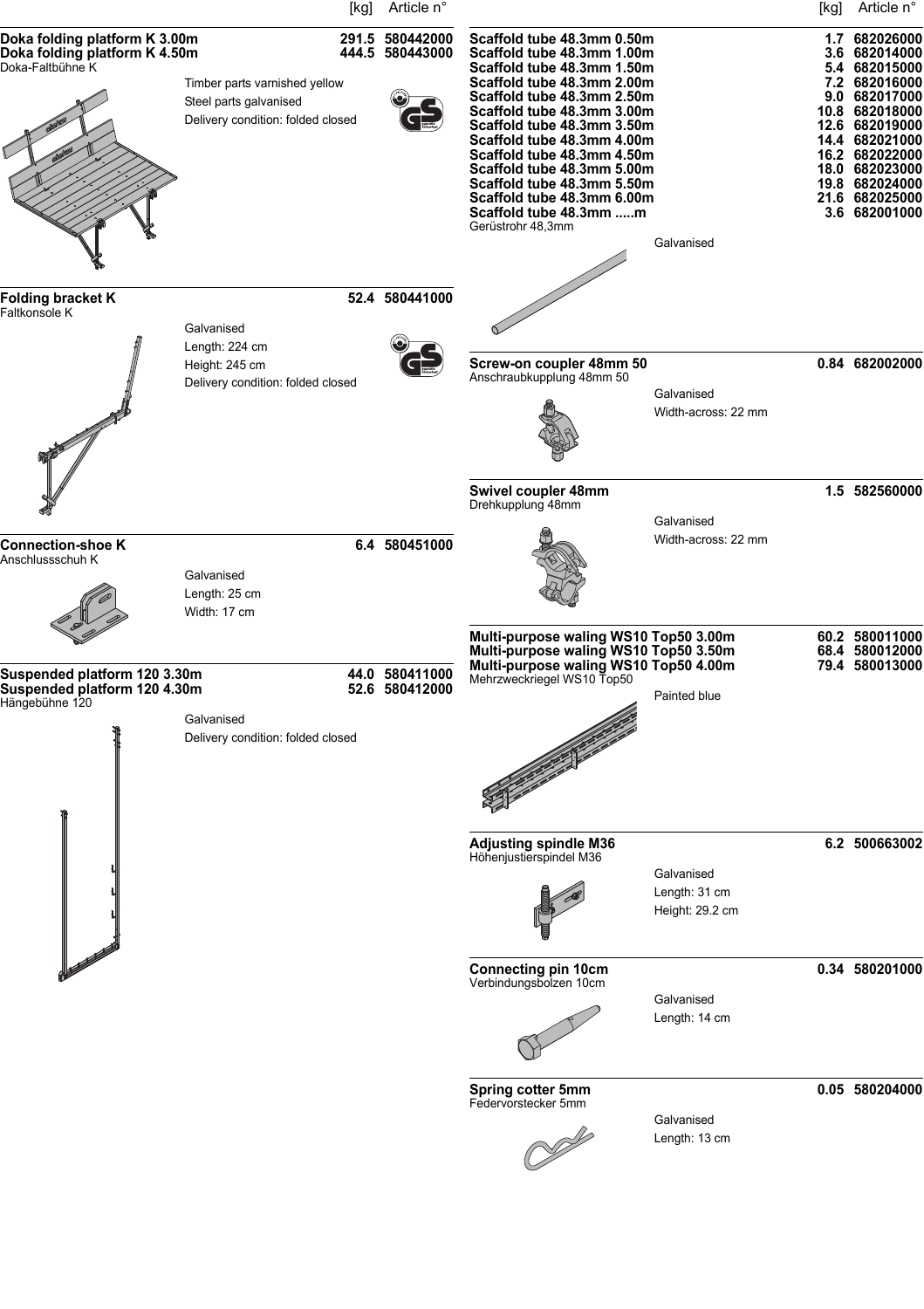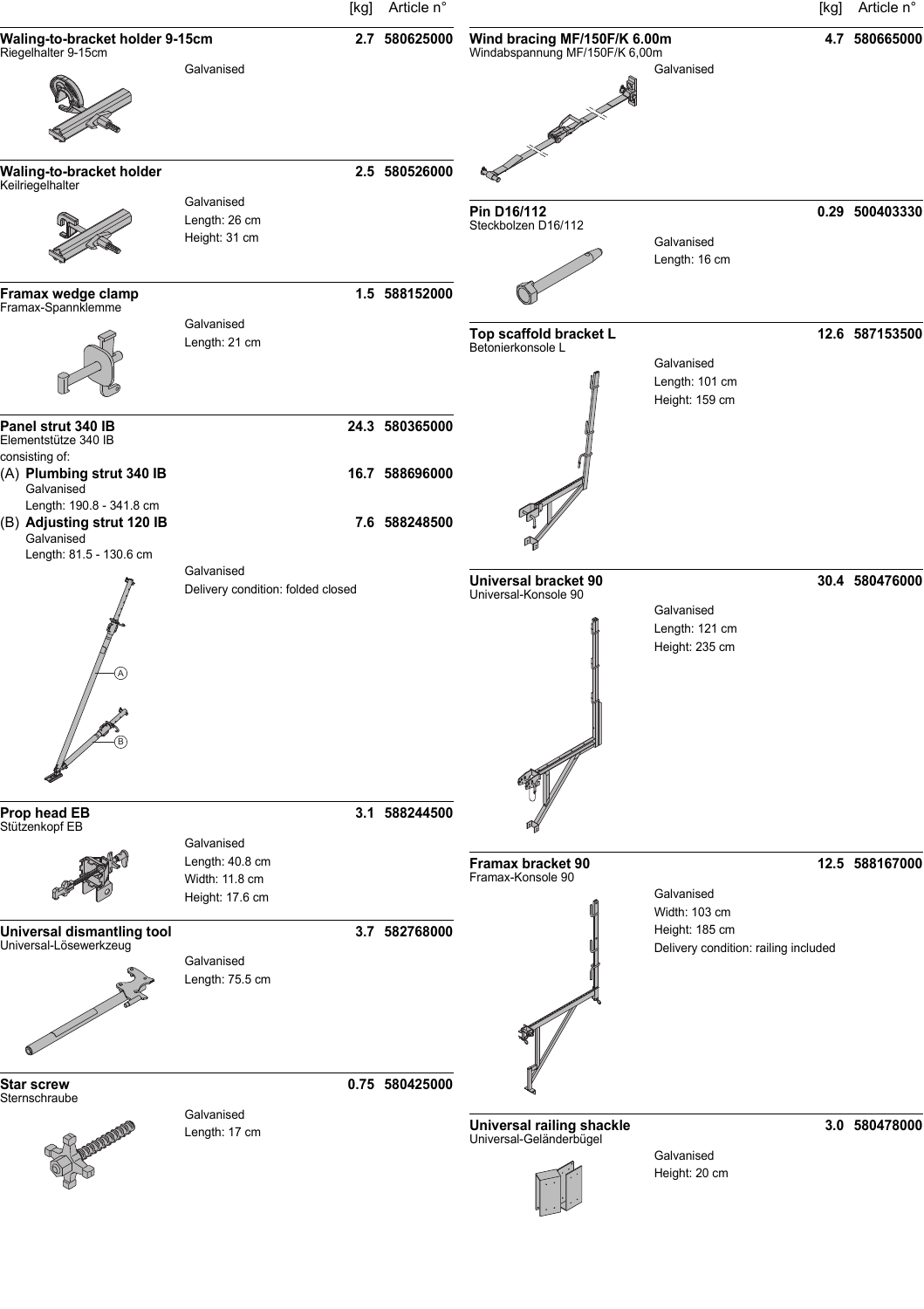